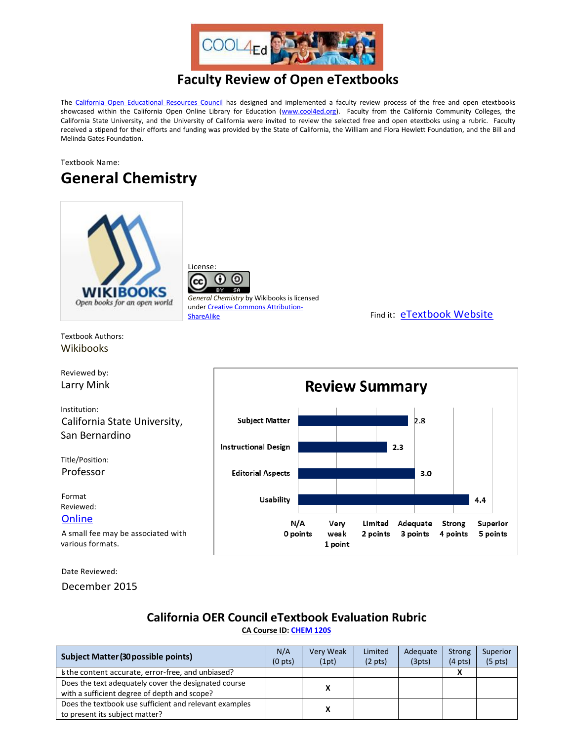

## **Faculty Review of Open eTextbooks**

The [California Open Educational Resources Council](http://icas-ca.org/coerc) has designed and implemented a faculty review process of the free and open etextbooks showcased within the California Open Online Library for Education [\(www.cool4ed.org\)](http://www.cool4ed.org/). Faculty from the California Community Colleges, the California State University, and the University of California were invited to review the selected free and open etextboks using a rubric. Faculty received a stipend for their efforts and funding was provided by the State of California, the William and Flora Hewlett Foundation, and the Bill and Melinda Gates Foundation.

## Textbook Name: **General Chemistry**



License: ۰

*General Chemistry* by Wikibooks is licensed unde[r Creative Commons Attribution-](http://creativecommons.org/licenses/by-sa/3.0/us/?_popup=true&_resize=true)

[ShareAlike](http://creativecommons.org/licenses/by-sa/3.0/us/?_popup=true&_resize=true) ShareAlike Find it: [eTextbook Website](https://en.wikibooks.org/wiki/General_Chemistry)

Textbook Authors: Wikibooks

Reviewed by: Larry Mink

Institution: California State University, San Bernardino

Title/Position: Professor

Format Reviewed: **[Online](https://en.wikibooks.org/wiki/General_Chemistry)** 

A small fee may be associated with various formats.

Date Reviewed:

December 2015

## **California OER Council eTextbook Evaluation Rubric [CA Course ID:](https://c-id.net/about.html) [CHEM 120S](https://c-id.net/descriptor_details.html?descriptor=298)**

| <b>Subject Matter (30 possible points)</b>             |                     | Very Weak | Limited           | Adequate | <b>Strong</b>     | Superior            |
|--------------------------------------------------------|---------------------|-----------|-------------------|----------|-------------------|---------------------|
|                                                        | (0 <sub>pts</sub> ) | (1pt)     | $(2 \text{ pts})$ | (3pts)   | $(4 \text{ pts})$ | (5 <sub>pts</sub> ) |
| the content accurate, error-free, and unbiased?        |                     |           |                   |          |                   |                     |
| Does the text adequately cover the designated course   | χ                   |           |                   |          |                   |                     |
| with a sufficient degree of depth and scope?           |                     |           |                   |          |                   |                     |
| Does the textbook use sufficient and relevant examples | x                   |           |                   |          |                   |                     |
| to present its subject matter?                         |                     |           |                   |          |                   |                     |

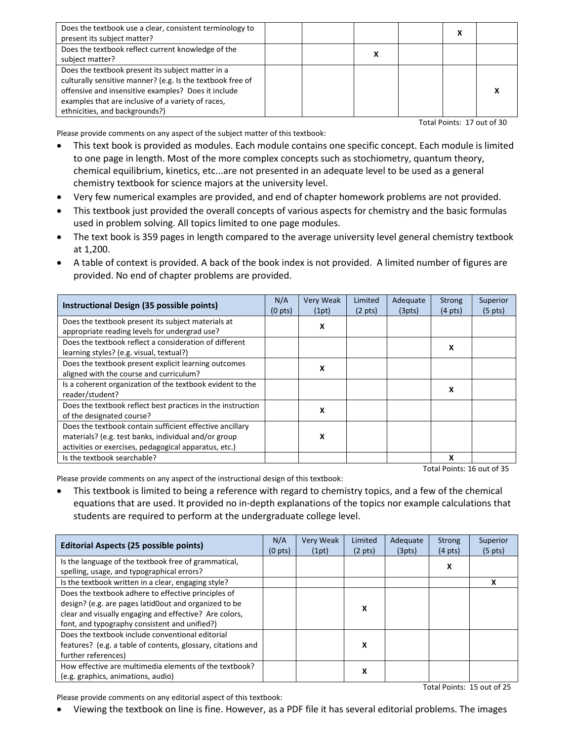| Does the textbook use a clear, consistent terminology to<br>present its subject matter?                                                                                                                                                                        |  |  | л |  |
|----------------------------------------------------------------------------------------------------------------------------------------------------------------------------------------------------------------------------------------------------------------|--|--|---|--|
| Does the textbook reflect current knowledge of the<br>subject matter?                                                                                                                                                                                          |  |  |   |  |
| Does the textbook present its subject matter in a<br>culturally sensitive manner? (e.g. Is the textbook free of<br>offensive and insensitive examples? Does it include<br>examples that are inclusive of a variety of races,<br>ethnicities, and backgrounds?) |  |  |   |  |

Total Points: 17 out of 30

Please provide comments on any aspect of the subject matter of this textbook: This text book is provided as modules. Each module contains one specific concept. Each module is limited to one page in length. Most of the more complex concepts such as stochiometry, quantum theory,

- chemical equilibrium, kinetics, etc...are not presented in an adequate level to be used as a general chemistry textbook for science majors at the university level.
- Very few numerical examples are provided, and end of chapter homework problems are not provided.
- This textbook just provided the overall concepts of various aspects for chemistry and the basic formulas used in problem solving. All topics limited to one page modules.
- The text book is 359 pages in length compared to the average university level general chemistry textbook at 1,200.
- A table of context is provided. A back of the book index is not provided. A limited number of figures are provided. No end of chapter problems are provided.

| Instructional Design (35 possible points)                                                                                                                                 | N/A<br>(0 <sub>pts</sub> ) | <b>Very Weak</b><br>(1pt) | Limited<br>$(2 \text{ pts})$ | Adequate<br>(3pts) | <b>Strong</b><br>$(4 \text{ pts})$ | Superior<br>$(5 \text{ pts})$ |
|---------------------------------------------------------------------------------------------------------------------------------------------------------------------------|----------------------------|---------------------------|------------------------------|--------------------|------------------------------------|-------------------------------|
| Does the textbook present its subject materials at<br>appropriate reading levels for undergrad use?                                                                       |                            | x                         |                              |                    |                                    |                               |
| Does the textbook reflect a consideration of different<br>learning styles? (e.g. visual, textual?)                                                                        |                            |                           |                              |                    | x                                  |                               |
| Does the textbook present explicit learning outcomes<br>aligned with the course and curriculum?                                                                           |                            | x                         |                              |                    |                                    |                               |
| Is a coherent organization of the textbook evident to the<br>reader/student?                                                                                              |                            |                           |                              |                    | x                                  |                               |
| Does the textbook reflect best practices in the instruction<br>of the designated course?                                                                                  |                            | X                         |                              |                    |                                    |                               |
| Does the textbook contain sufficient effective ancillary<br>materials? (e.g. test banks, individual and/or group<br>activities or exercises, pedagogical apparatus, etc.) |                            | x                         |                              |                    |                                    |                               |
| Is the textbook searchable?                                                                                                                                               |                            |                           |                              |                    | x                                  |                               |

Total Points: 16 out of 35

Please provide comments on any aspect of the instructional design of this textbook:

 This textbook is limited to being a reference with regard to chemistry topics, and a few of the chemical equations that are used. It provided no in-depth explanations of the topics nor example calculations that students are required to perform at the undergraduate college level.

| <b>Editorial Aspects (25 possible points)</b>                |  | <b>Very Weak</b> | Limited           | Adequate | <b>Strong</b>     | <b>Superior</b>   |
|--------------------------------------------------------------|--|------------------|-------------------|----------|-------------------|-------------------|
|                                                              |  | (1pt)            | $(2 \text{ pts})$ | (3pts)   | $(4 \text{ pts})$ | $(5 \text{ pts})$ |
| Is the language of the textbook free of grammatical,         |  |                  |                   |          | x                 |                   |
| spelling, usage, and typographical errors?                   |  |                  |                   |          |                   |                   |
| Is the textbook written in a clear, engaging style?          |  |                  |                   |          |                   |                   |
| Does the textbook adhere to effective principles of          |  |                  |                   |          |                   |                   |
| design? (e.g. are pages latid0out and organized to be        |  |                  | x                 |          |                   |                   |
| clear and visually engaging and effective? Are colors,       |  |                  |                   |          |                   |                   |
| font, and typography consistent and unified?)                |  |                  |                   |          |                   |                   |
| Does the textbook include conventional editorial             |  |                  |                   |          |                   |                   |
| features? (e.g. a table of contents, glossary, citations and |  |                  | x                 |          |                   |                   |
| further references)                                          |  |                  |                   |          |                   |                   |
| How effective are multimedia elements of the textbook?       |  |                  |                   |          |                   |                   |
| (e.g. graphics, animations, audio)                           |  |                  | х                 |          |                   |                   |

Total Points: 15 out of 25

Please provide comments on any editorial aspect of this textbook:

Viewing the textbook on line is fine. However, as a PDF file it has several editorial problems. The images